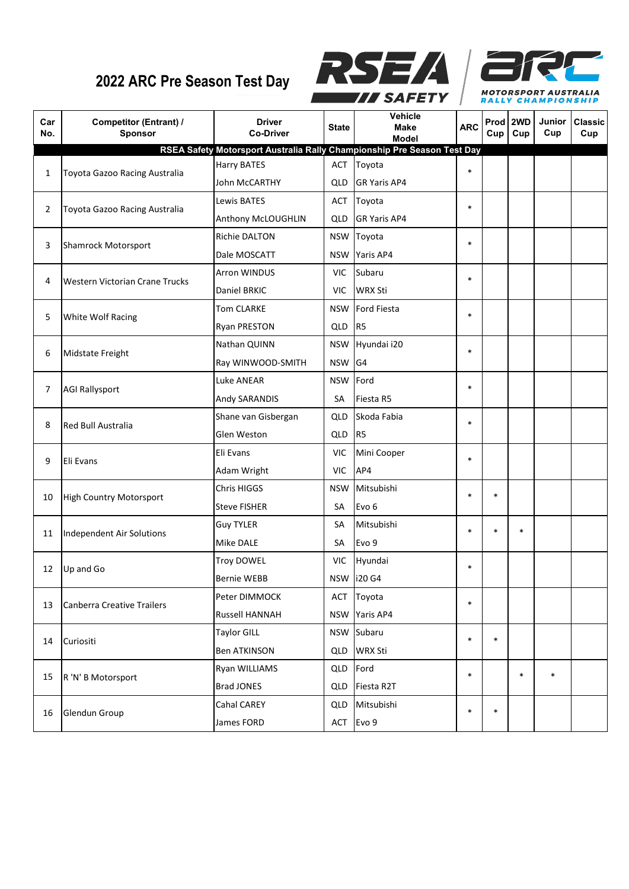## **2022 ARC Pre Season Test Day**





| Car<br>No. | <b>Competitor (Entrant) /</b><br>Sponsor | <b>Driver</b><br><b>Co-Driver</b>                                       | <b>State</b> | Vehicle<br><b>Make</b><br><b>Model</b> | <b>ARC</b> | Prod 2WD<br>Cup | Cup    | Junior<br>Cup | <b>Classic</b><br>Cup |
|------------|------------------------------------------|-------------------------------------------------------------------------|--------------|----------------------------------------|------------|-----------------|--------|---------------|-----------------------|
|            |                                          | RSEA Safety Motorsport Australia Rally Championship Pre Season Test Day |              |                                        |            |                 |        |               |                       |
| 1          | Toyota Gazoo Racing Australia            | <b>Harry BATES</b>                                                      | ACT          | Toyota                                 | $\ast$     |                 |        |               |                       |
|            |                                          | John McCARTHY                                                           | QLD          | <b>GR Yaris AP4</b>                    |            |                 |        |               |                       |
| 2          | Toyota Gazoo Racing Australia            | Lewis BATES                                                             | ACT          | Toyota                                 | $\ast$     |                 |        |               |                       |
|            |                                          | Anthony McLOUGHLIN                                                      | QLD          | <b>GR Yaris AP4</b>                    |            |                 |        |               |                       |
| 3          | <b>Shamrock Motorsport</b>               | Richie DALTON                                                           | <b>NSW</b>   | Toyota                                 | $\ast$     |                 |        |               |                       |
|            |                                          | Dale MOSCATT                                                            | <b>NSW</b>   | Yaris AP4                              |            |                 |        |               |                       |
| 4          | Western Victorian Crane Trucks           | Arron WINDUS                                                            | <b>VIC</b>   | Subaru                                 | $\ast$     |                 |        |               |                       |
|            |                                          | Daniel BRKIC                                                            | <b>VIC</b>   | <b>WRX Sti</b>                         |            |                 |        |               |                       |
| 5          | White Wolf Racing                        | <b>Tom CLARKE</b>                                                       | <b>NSW</b>   | <b>Ford Fiesta</b>                     | $\ast$     |                 |        |               |                       |
|            |                                          | <b>Ryan PRESTON</b>                                                     | QLD          | R <sub>5</sub>                         |            |                 |        |               |                       |
| 6          | Midstate Freight                         | Nathan QUINN                                                            | <b>NSW</b>   | Hyundai i20                            | $\ast$     |                 |        |               |                       |
|            |                                          | Ray WINWOOD-SMITH                                                       | <b>NSW</b>   | G <sub>4</sub>                         |            |                 |        |               |                       |
| 7          | <b>AGI Rallysport</b>                    | Luke ANEAR                                                              | <b>NSW</b>   | Ford                                   | $\ast$     |                 |        |               |                       |
|            |                                          | Andy SARANDIS                                                           | SА           | Fiesta R5                              |            |                 |        |               |                       |
| 8          | Red Bull Australia                       | Shane van Gisbergan                                                     | QLD          | Skoda Fabia                            | $\ast$     |                 |        |               |                       |
|            |                                          | Glen Weston                                                             | QLD          | R <sub>5</sub>                         |            |                 |        |               |                       |
| 9          | Eli Evans                                | Eli Evans                                                               | <b>VIC</b>   | Mini Cooper                            | $\ast$     |                 |        |               |                       |
|            |                                          | Adam Wright                                                             | <b>VIC</b>   | AP4                                    |            |                 |        |               |                       |
| 10         | <b>High Country Motorsport</b>           | Chris HIGGS                                                             | <b>NSW</b>   | Mitsubishi                             | $\ast$     | $\ast$          |        |               |                       |
|            |                                          | <b>Steve FISHER</b>                                                     | SA           | Evo <sub>6</sub>                       |            |                 |        |               |                       |
|            | Independent Air Solutions                | <b>Guy TYLER</b>                                                        | SА           | Mitsubishi                             | $\ast$     | $\ast$          | $\ast$ |               |                       |
| 11         |                                          | Mike DALE                                                               | SА           | Evo 9                                  |            |                 |        |               |                       |
| 12         | Up and Go                                | <b>Troy DOWEL</b>                                                       | VIC.         | Hyundai                                | $\ast$     |                 |        |               |                       |
|            |                                          | <b>Bernie WEBB</b>                                                      |              | NSW 120 G4                             |            |                 |        |               |                       |
| 13         | <b>Canberra Creative Trailers</b>        | Peter DIMMOCK                                                           |              | ACT Toyota                             | $\ast$     |                 |        |               |                       |
|            |                                          | Russell HANNAH                                                          |              | NSW Yaris AP4                          |            |                 |        |               |                       |
| 14         | Curiositi                                | <b>Taylor GILL</b>                                                      |              | NSW Subaru                             | $\ast$     | $\ast$          |        |               |                       |
|            |                                          | <b>Ben ATKINSON</b>                                                     | QLD.         | <b>WRX Sti</b>                         |            |                 |        |               |                       |
| 15         | R 'N' B Motorsport                       | Ryan WILLIAMS                                                           | QLD          | Ford                                   | $\ast$     |                 | $\ast$ | $\ast$        |                       |
|            |                                          | <b>Brad JONES</b>                                                       | QLD          | Fiesta R2T                             |            |                 |        |               |                       |
| 16         | Glendun Group                            | Cahal CAREY                                                             | <b>QLD</b>   | Mitsubishi                             | $\ast$     | $\ast$          |        |               |                       |
|            |                                          | James FORD                                                              | ACT          | Evo 9                                  |            |                 |        |               |                       |